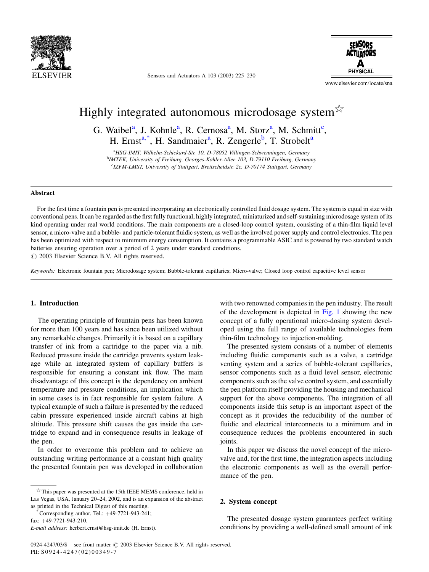

Sensors and Actuators A 103 (2003) 225-230



www.elsevier.com/locate/sna

# Highly integrated autonomous microdosage system $\frac{1}{2}$

G. Waibel<sup>a</sup>, J. Kohnle<sup>a</sup>, R. Cernosa<sup>a</sup>, M. Storz<sup>a</sup>, M. Schmitt<sup>c</sup>, H. Ernst<sup>a,\*</sup>, H. Sandmaier<sup>a</sup>, R. Zengerle<sup>b</sup>, T. Strobelt<sup>a</sup>

<sup>a</sup>HSG-IMIT, Wilhelm-Schickard-Str. 10, D-78052 Villingen-Schwenningen, Germany <sup>b</sup>IMTEK, University of Freiburg, Georges-Köhler-Allee 103, D-79110 Freiburg, Germany <sup>c</sup>IZFM-LMST, University of Stuttgart, Breitscheidstr. 2c, D-70174 Stuttgart, Germany

### **Abstract**

For the first time a fountain pen is presented incorporating an electronically controlled fluid dosage system. The system is equal in size with conventional pens. It can be regarded as the first fully functional, highly integrated, miniaturized and self-sustaining microdosage system of its kind operating under real world conditions. The main components are a closed-loop control system, consisting of a thin-film liquid level sensor, a micro-valve and a bubble- and particle-tolerant fluidic system, as well as the involved power supply and control electronics. The pen has been optimized with respect to minimum energy consumption. It contains a programmable ASIC and is powered by two standard watch batteries ensuring operation over a period of 2 years under standard conditions. © 2003 Elsevier Science B.V. All rights reserved.

Keywords: Electronic fountain pen; Microdosage system; Bubble-tolerant capillaries; Micro-valve; Closed loop control capacitive level sensor

# 1. Introduction

The operating principle of fountain pens has been known for more than 100 years and has since been utilized without any remarkable changes. Primarily it is based on a capillary transfer of ink from a cartridge to the paper via a nib. Reduced pressure inside the cartridge prevents system leakage while an integrated system of capillary buffers is responsible for ensuring a constant ink flow. The main disadvantage of this concept is the dependency on ambient temperature and pressure conditions, an implication which in some cases is in fact responsible for system failure. A typical example of such a failure is presented by the reduced cabin pressure experienced inside aircraft cabins at high altitude. This pressure shift causes the gas inside the cartridge to expand and in consequence results in leakage of the pen.

In order to overcome this problem and to achieve an outstanding writing performance at a constant high quality the presented fountain pen was developed in collaboration

Corresponding author. Tel.:  $+49-7721-943-241$ ;

with two renowned companies in the pen industry. The result of the development is depicted in Fig. 1 showing the new concept of a fully operational micro-dosing system developed using the full range of available technologies from thin-film technology to injection-molding.

The presented system consists of a number of elements including fluidic components such as a valve, a cartridge venting system and a series of bubble-tolerant capillaries, sensor components such as a fluid level sensor, electronic components such as the valve control system, and essentially the pen platform itself providing the housing and mechanical support for the above components. The integration of all components inside this setup is an important aspect of the concept as it provides the reducibility of the number of fluidic and electrical interconnects to a minimum and in consequence reduces the problems encountered in such ioints.

In this paper we discuss the novel concept of the microvalve and, for the first time, the integration aspects including the electronic components as well as the overall performance of the pen.

# 2. System concept

The presented dosage system guarantees perfect writing conditions by providing a well-defined small amount of ink

 $*$ This paper was presented at the 15th IEEE MEMS conference, held in Las Vegas, USA, January 20-24, 2002, and is an expansion of the abstract as printed in the Technical Digest of this meeting.

fax:  $+49-7721-943-210$ . E-mail address: herbert.ernst@hsg-imit.de (H. Ernst).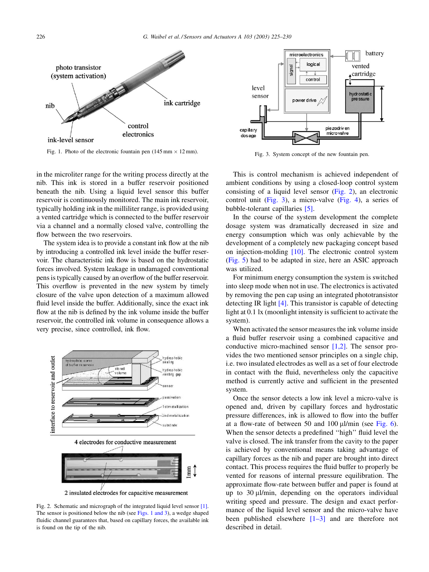<span id="page-1-0"></span>

Fig. 1. Photo of the electronic fountain pen  $(145 \text{ mm} \times 12 \text{ mm})$ .

in the microliter range for the writing process directly at the nib. This ink is stored in a buffer reservoir positioned beneath the nib. Using a liquid level sensor this buffer reservoir is continuously monitored. The main ink reservoir, typically holding ink in the milliliter range, is provided using a vented cartridge which is connected to the buffer reservoir via a channel and a normally closed valve, controlling the flow between the two reservoirs.

The system idea is to provide a constant ink flow at the nib by introducing a controlled ink level inside the buffer reservoir. The characteristic ink flow is based on the hydrostatic forces involved. System leakage in undamaged conventional pens is typically caused by an overflow of the buffer reservoir. This overflow is prevented in the new system by timely closure of the valve upon detection of a maximum allowed fluid level inside the buffer. Additionally, since the exact ink flow at the nib is defined by the ink volume inside the buffer reservoir, the controlled ink volume in consequence allows a very precise, since controlled, ink flow.



2 insulated electrodes for capacitive measurement

Fig. 2. Schematic and micrograph of the integrated liquid level sensor  $[1]$ . The sensor is positioned below the nib (see Figs. 1 and 3), a wedge shaped fluidic channel guarantees that, based on capillary forces, the available ink is found on the tip of the nib.



Fig. 3. System concept of the new fountain pen.

This is control mechanism is achieved independent of ambient conditions by using a closed-loop control system consisting of a liquid level sensor (Fig. 2), an electronic control unit (Fig. 3), a micro-valve (Fig. 4), a series of bubble-tolerant capillaries [5].

In the course of the system development the complete dosage system was dramatically decreased in size and energy consumption which was only achievable by the development of a completely new packaging concept based on injection-molding  $[10]$ . The electronic control system (Fig. 5) had to be adapted in size, here an ASIC approach was utilized.

For minimum energy consumption the system is switched into sleep mode when not in use. The electronics is activated by removing the pen cap using an integrated phototransistor detecting IR light  $[4]$ . This transistor is capable of detecting light at 0.1 lx (moonlight intensity is sufficient to activate the system).

When activated the sensor measures the ink volume inside a fluid buffer reservoir using a combined capacitive and conductive micro-machined sensor  $[1,2]$ . The sensor provides the two mentioned sensor principles on a single chip, i.e. two insulated electrodes as well as a set of four electrode in contact with the fluid, nevertheless only the capacitive method is currently active and sufficient in the presented system.

Once the sensor detects a low ink level a micro-valve is opened and, driven by capillary forces and hydrostatic pressure differences, ink is allowed to flow into the buffer at a flow-rate of between 50 and 100  $\mu$ l/min (see Fig. 6). When the sensor detects a predefined "high" fluid level the valve is closed. The ink transfer from the cavity to the paper is achieved by conventional means taking advantage of capillary forces as the nib and paper are brought into direct contact. This process requires the fluid buffer to properly be vented for reasons of internal pressure equilibration. The approximate flow-rate between buffer and paper is found at up to  $30 \mu$ l/min, depending on the operators individual writing speed and pressure. The design and exact performance of the liquid level sensor and the micro-valve have been published elsewhere  $[1-3]$  and are therefore not described in detail.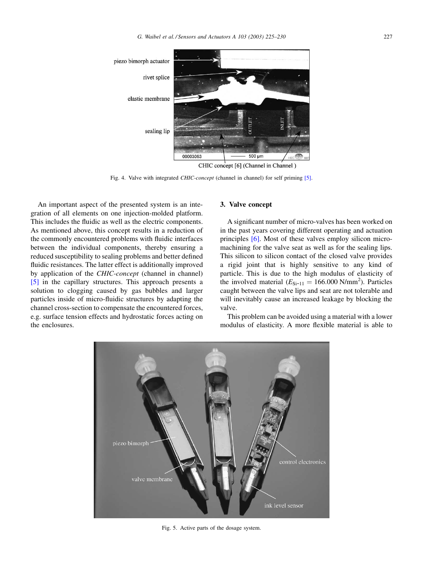<span id="page-2-0"></span>

Fig. 4. Valve with integrated CHIC-concept (channel in channel) for self priming [5].

An important aspect of the presented system is an integration of all elements on one injection-molded platform. This includes the fluidic as well as the electric components. As mentioned above, this concept results in a reduction of the commonly encountered problems with fluidic interfaces between the individual components, thereby ensuring a reduced susceptibility to sealing problems and better defined fluidic resistances. The latter effect is additionally improved by application of the *CHIC-concept* (channel in channel) [5] in the capillary structures. This approach presents a solution to clogging caused by gas bubbles and larger particles inside of micro-fluidic structures by adapting the channel cross-section to compensate the encountered forces, e.g. surface tension effects and hydrostatic forces acting on the enclosures.

## 3. Valve concept

A significant number of micro-valves has been worked on in the past years covering different operating and actuation principles [6]. Most of these valves employ silicon micromachining for the valve seat as well as for the sealing lips. This silicon to silicon contact of the closed valve provides a rigid joint that is highly sensitive to any kind of particle. This is due to the high modulus of elasticity of the involved material  $(E_{Si-11} = 166.000 \text{ N/mm}^2)$ . Particles caught between the valve lips and seat are not tolerable and will inevitably cause an increased leakage by blocking the valve.

This problem can be avoided using a material with a lower modulus of elasticity. A more flexible material is able to



Fig. 5. Active parts of the dosage system.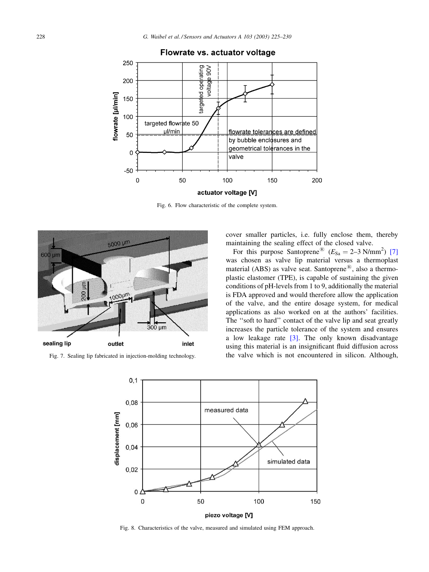<span id="page-3-0"></span>

# Flowrate vs. actuator voltage

Fig. 6. Flow characteristic of the complete system.



Fig. 7. Sealing lip fabricated in injection-molding technology.

cover smaller particles, i.e. fully enclose them, thereby maintaining the sealing effect of the closed valve.

For this purpose Santoprene®  $(E_{\text{Sa}} = 2-3 \text{ N/mm}^2)$  [7] was chosen as valve lip material versus a thermoplast material (ABS) as valve seat. Santoprene<sup> $<sup>B</sup>$ </sup> also a thermo-</sup> plastic elastomer (TPE), is capable of sustaining the given conditions of pH-levels from 1 to 9, additionally the material is FDA approved and would therefore allow the application of the valve, and the entire dosage system, for medical applications as also worked on at the authors' facilities. The "soft to hard" contact of the valve lip and seat greatly increases the particle tolerance of the system and ensures a low leakage rate  $\lceil 3 \rceil$ . The only known disadvantage using this material is an insignificant fluid diffusion across the valve which is not encountered in silicon. Although,



Fig. 8. Characteristics of the valve, measured and simulated using FEM approach.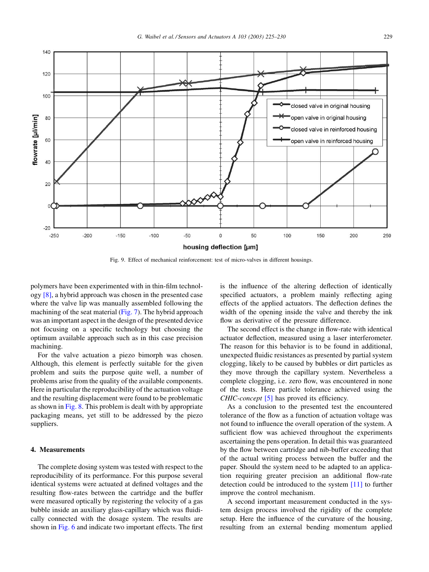<span id="page-4-0"></span>

Fig. 9. Effect of mechanical reinforcement: test of micro-valves in different housings.

polymers have been experimented with in thin-film technology  $[8]$ , a hybrid approach was chosen in the presented case where the valve lip was manually assembled following the machining of the seat material (Fig. 7). The hybrid approach was an important aspect in the design of the presented device not focusing on a specific technology but choosing the optimum available approach such as in this case precision machining.

For the valve actuation a piezo bimorph was chosen. Although, this element is perfectly suitable for the given problem and suits the purpose quite well, a number of problems arise from the quality of the available components. Here in particular the reproducibility of the actuation voltage and the resulting displacement were found to be problematic as shown in Fig.  $8$ . This problem is dealt with by appropriate packaging means, yet still to be addressed by the piezo suppliers.

## 4. Measurements

The complete dosing system was tested with respect to the reproducibility of its performance. For this purpose several identical systems were actuated at defined voltages and the resulting flow-rates between the cartridge and the buffer were measured optically by registering the velocity of a gas bubble inside an auxiliary glass-capillary which was fluidically connected with the dosage system. The results are shown in Fig. 6 and indicate two important effects. The first

is the influence of the altering deflection of identically specified actuators, a problem mainly reflecting aging effects of the applied actuators. The deflection defines the width of the opening inside the valve and thereby the ink flow as derivative of the pressure difference.

The second effect is the change in flow-rate with identical actuator deflection, measured using a laser interferometer. The reason for this behavior is to be found in additional, unexpected fluidic resistances as presented by partial system clogging, likely to be caused by bubbles or dirt particles as they move through the capillary system. Nevertheless a complete clogging, i.e. zero flow, was encountered in none of the tests. Here particle tolerance achieved using the *CHIC-concept* [5] has proved its efficiency.

As a conclusion to the presented test the encountered tolerance of the flow as a function of actuation voltage was not found to influence the overall operation of the system. A sufficient flow was achieved throughout the experiments ascertaining the pens operation. In detail this was guaranteed by the flow between cartridge and nib-buffer exceeding that of the actual writing process between the buffer and the paper. Should the system need to be adapted to an application requiring greater precision an additional flow-rate detection could be introduced to the system  $[11]$  to further improve the control mechanism.

A second important measurement conducted in the system design process involved the rigidity of the complete setup. Here the influence of the curvature of the housing, resulting from an external bending momentum applied